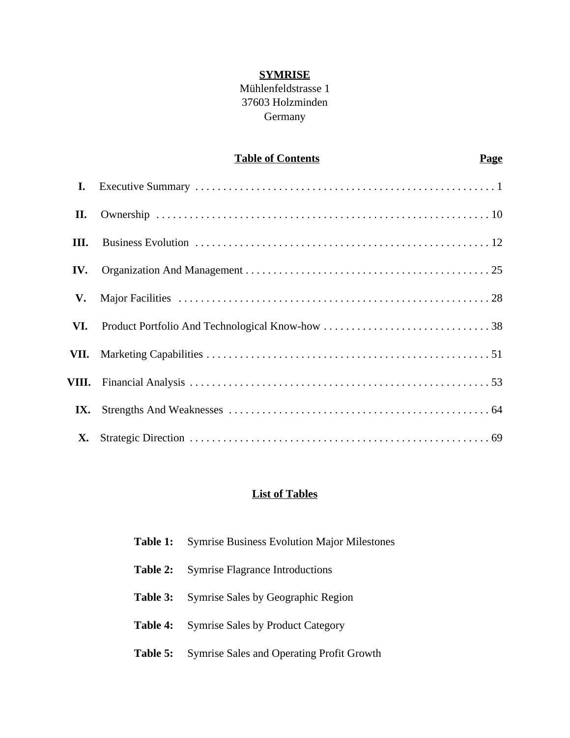## **SYMRISE**

## Mühlenfeldstrasse 1 37603 Holzminden Germany

## **Table of Contents Page**

| I.        |  |
|-----------|--|
| П.        |  |
| III.      |  |
| IV.       |  |
| V.        |  |
| VI.       |  |
|           |  |
|           |  |
| IX.       |  |
| <b>X.</b> |  |

## **List of Tables**

| Table 1: | <b>Symrise Business Evolution Major Milestones</b> |
|----------|----------------------------------------------------|
| Table 2: | <b>Symrise Flagrance Introductions</b>             |
| Table 3: | Symrise Sales by Geographic Region                 |
| Table 4: | <b>Symrise Sales by Product Category</b>           |
| Table 5: | <b>Symrise Sales and Operating Profit Growth</b>   |